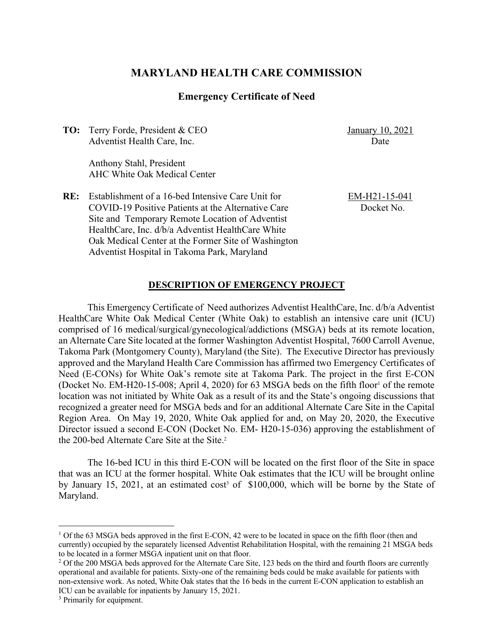# **MARYLAND HEALTH CARE COMMISSION**

# **Emergency Certificate of Need**

**TO:** Terry Forde, President & CEO Adventist Health Care, Inc.

January 10, 2021 Date

Anthony Stahl, President AHC White Oak Medical Center

**RE:** Establishment of a 16-bed Intensive Care Unit for COVID-19 Positive Patients at the Alternative Care Site and Temporary Remote Location of Adventist HealthCare, Inc. d/b/a Adventist HealthCare White Oak Medical Center at the Former Site of Washington Adventist Hospital in Takoma Park, Maryland

EM-H21-15-041 Docket No.

### **DESCRIPTION OF EMERGENCY PROJECT**

This Emergency Certificate of Need authorizes Adventist HealthCare, Inc. d/b/a Adventist HealthCare White Oak Medical Center (White Oak) to establish an intensive care unit (ICU) comprised of 16 medical/surgical/gynecological/addictions (MSGA) beds at its remote location, an Alternate Care Site located at the former Washington Adventist Hospital, 7600 Carroll Avenue, Takoma Park (Montgomery County), Maryland (the Site). The Executive Director has previously approved and the Maryland Health Care Commission has affirmed two Emergency Certificates of Need (E-CONs) for White Oak's remote site at Takoma Park. The project in the first E-CON (Docket No. EM-H20-15-008; April 4, 2020) for 63 MSGA beds on the fifth floor<sup>1</sup> of the remote location was not initiated by White Oak as a result of its and the State's ongoing discussions that recognized a greater need for MSGA beds and for an additional Alternate Care Site in the Capital Region Area. On May 19, 2020, White Oak applied for and, on May 20, 2020, the Executive Director issued a second E-CON (Docket No. EM- H20-15-036) approving the establishment of the 200-bed Alternate Care Site at the Site.2

The 16-bed ICU in this third E-CON will be located on the first floor of the Site in space that was an ICU at the former hospital. White Oak estimates that the ICU will be brought online by January 15, 2021, at an estimated cost<sup>3</sup> of  $$100,000$ , which will be borne by the State of Maryland.

<sup>&</sup>lt;sup>1</sup> Of the 63 MSGA beds approved in the first E-CON, 42 were to be located in space on the fifth floor (then and currently) occupied by the separately licensed Adventist Rehabilitation Hospital, with the remaining 21 MSGA beds to be located in a former MSGA inpatient unit on that floor.<br><sup>2</sup> Of the 200 MSGA beds approved for the Alternate Care Site, 123 beds on the third and fourth floors are currently

operational and available for patients. Sixty-one of the remaining beds could be make available for patients with non-extensive work. As noted, White Oak states that the 16 beds in the current E-CON application to establish an ICU can be available for inpatients by January 15, 2021.

<sup>&</sup>lt;sup>3</sup> Primarily for equipment.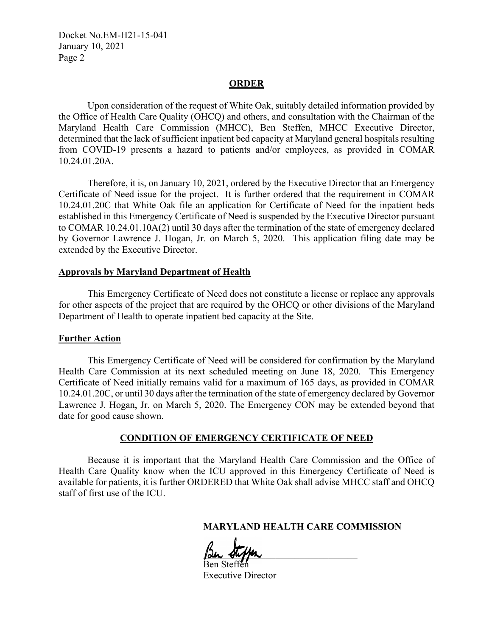Docket No.EM-H21-15-041 January 10, 2021 Page 2

#### **ORDER**

Upon consideration of the request of White Oak, suitably detailed information provided by the Office of Health Care Quality (OHCQ) and others, and consultation with the Chairman of the Maryland Health Care Commission (MHCC), Ben Steffen, MHCC Executive Director, determined that the lack of sufficient inpatient bed capacity at Maryland general hospitals resulting from COVID-19 presents a hazard to patients and/or employees, as provided in COMAR 10.24.01.20A.

Therefore, it is, on January 10, 2021, ordered by the Executive Director that an Emergency Certificate of Need issue for the project. It is further ordered that the requirement in COMAR 10.24.01.20C that White Oak file an application for Certificate of Need for the inpatient beds established in this Emergency Certificate of Need is suspended by the Executive Director pursuant to COMAR 10.24.01.10A(2) until 30 days after the termination of the state of emergency declared by Governor Lawrence J. Hogan, Jr. on March 5, 2020. This application filing date may be extended by the Executive Director.

#### **Approvals by Maryland Department of Health**

This Emergency Certificate of Need does not constitute a license or replace any approvals for other aspects of the project that are required by the OHCQ or other divisions of the Maryland Department of Health to operate inpatient bed capacity at the Site.

#### **Further Action**

This Emergency Certificate of Need will be considered for confirmation by the Maryland Health Care Commission at its next scheduled meeting on June 18, 2020. This Emergency Certificate of Need initially remains valid for a maximum of 165 days, as provided in COMAR 10.24.01.20C, or until 30 days after the termination of the state of emergency declared by Governor Lawrence J. Hogan, Jr. on March 5, 2020. The Emergency CON may be extended beyond that date for good cause shown.

## **CONDITION OF EMERGENCY CERTIFICATE OF NEED**

Because it is important that the Maryland Health Care Commission and the Office of Health Care Quality know when the ICU approved in this Emergency Certificate of Need is available for patients, it is further ORDERED that White Oak shall advise MHCC staff and OHCQ staff of first use of the ICU.

**MARYLAND HEALTH CARE COMMISSION**

 $\beta$ un steppen Ben Steffen

Executive Director